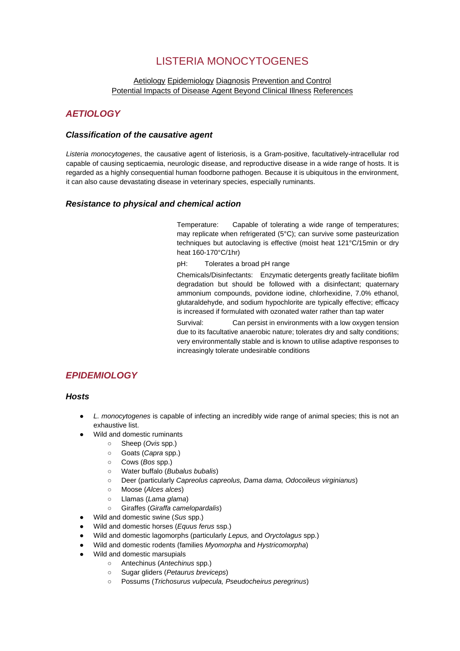# LISTERIA MONOCYTOGENES

## [Aetiology](http://www.oie.int/eng/maladies/fiches/a_A080.htm#1) [Epidemiology](http://www.oie.int/eng/maladies/fiches/a_A080.htm#2) [Diagnosis](http://www.oie.int/eng/maladies/fiches/a_A080.htm#3) [Prevention and Control](http://www.oie.int/eng/maladies/fiches/a_A080.htm#4) Potential Impacts of Disease Agent Beyond Clinical Illness [References](http://www.oie.int/eng/maladies/fiches/a_A080.htm#5)

## *AETIOLOGY*

## *Classification of the causative agent*

*Listeria monocytogenes*, the causative agent of listeriosis, is a Gram-positive, facultatively-intracellular rod capable of causing septicaemia, neurologic disease, and reproductive disease in a wide range of hosts. It is regarded as a highly consequential human foodborne pathogen. Because it is ubiquitous in the environment, it can also cause devastating disease in veterinary species, especially ruminants.

## *Resistance to physical and chemical action*

Temperature: Capable of tolerating a wide range of temperatures; may replicate when refrigerated (5°C); can survive some pasteurization techniques but autoclaving is effective (moist heat 121°C/15min or dry heat 160-170°C/1hr)

pH: Tolerates a broad pH range

Chemicals/Disinfectants: Enzymatic detergents greatly facilitate biofilm degradation but should be followed with a disinfectant; quaternary ammonium compounds, povidone iodine, chlorhexidine, 7.0% ethanol, glutaraldehyde, and sodium hypochlorite are typically effective; efficacy is increased if formulated with ozonated water rather than tap water

Survival: Can persist in environments with a low oxygen tension due to its facultative anaerobic nature; tolerates dry and salty conditions; very environmentally stable and is known to utilise adaptive responses to increasingly tolerate undesirable conditions

## *EPIDEMIOLOGY*

### *Hosts*

- L. monocytogenes is capable of infecting an incredibly wide range of animal species; this is not an exhaustive list.
- Wild and domestic ruminants
	- Sheep (*Ovis* spp.)
	- Goats (*Capra* spp.)
	- Cows (*Bos* spp.)
	- Water buffalo (*Bubalus bubalis*)
	- Deer (particularly *Capreolus capreolus, Dama dama, Odocoileus virginianus*)
	- Moose (*Alces alces*)
	- Llamas (*Lama glama*)
	- Giraffes (*Giraffa camelopardalis*)
- Wild and domestic swine (*Sus* spp.)
- Wild and domestic horses (*Equus ferus* ssp.)
- Wild and domestic lagomorphs (particularly *Lepus,* and *Oryctolagus* spp.)
- Wild and domestic rodents (families *Myomorpha* and *Hystricomorpha*)
- Wild and domestic marsupials
	- Antechinus (*Antechinus* spp.)
	- Sugar gliders (*Petaurus breviceps*)
	- Possums (*Trichosurus vulpecula, Pseudocheirus peregrinus*)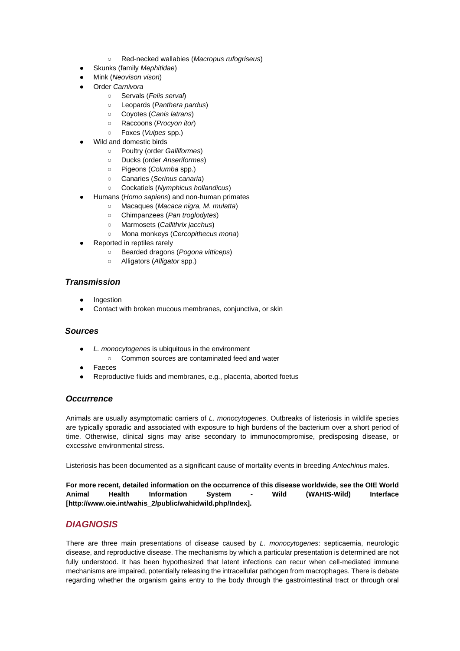- Red-necked wallabies (*Macropus rufogriseus*)
- Skunks (family *Mephitidae*)
- Mink (*Neovison vison*)
- Order *Carnivora*
	- Servals (*Felis serval*)
	- Leopards (*Panthera pardus*)
	- Coyotes (*Canis latrans*)
	- Raccoons (*Procyon itor*)
	- Foxes (*Vulpes* spp.)
- Wild and domestic birds
	- Poultry (order *Galliformes*)
	- Ducks (order *Anseriformes*)
	- Pigeons (*Columba* spp.)
	- Canaries (*Serinus canaria*)
	- Cockatiels (*Nymphicus hollandicus*)
- Humans (*Homo sapiens*) and non-human primates
	- Macaques (*Macaca nigra, M. mulatta*)
	- Chimpanzees (*Pan troglodytes*)
	- Marmosets (*Callithrix jacchus*)
	- Mona monkeys (*Cercopithecus mona*)
- Reported in reptiles rarely
	- Bearded dragons (*Pogona vitticeps*)
	- Alligators (*Alligator* spp.)

## *Transmission*

- Ingestion
- Contact with broken mucous membranes, conjunctiva, or skin

### *Sources*

- L. monocytogenes is ubiquitous in the environment
	- Common sources are contaminated feed and water
- **Faeces**
- Reproductive fluids and membranes, e.g., placenta, aborted foetus

### *Occurrence*

Animals are usually asymptomatic carriers of *L. monocytogenes*. Outbreaks of listeriosis in wildlife species are typically sporadic and associated with exposure to high burdens of the bacterium over a short period of time. Otherwise, clinical signs may arise secondary to immunocompromise, predisposing disease, or excessive environmental stress.

Listeriosis has been documented as a significant cause of mortality events in breeding *Antechinus* males.

**For more recent, detailed information on the occurrence of this disease worldwide, see the OIE World Animal Health Information System - Wild (WAHIS-Wild) Interface [http://www.oie.int/wahis\_2/public/wahidwild.php/Index].**

## *DIAGNOSIS*

There are three main presentations of disease caused by *L. monocytogenes*: septicaemia, neurologic disease, and reproductive disease. The mechanisms by which a particular presentation is determined are not fully understood. It has been hypothesized that latent infections can recur when cell-mediated immune mechanisms are impaired, potentially releasing the intracellular pathogen from macrophages. There is debate regarding whether the organism gains entry to the body through the gastrointestinal tract or through oral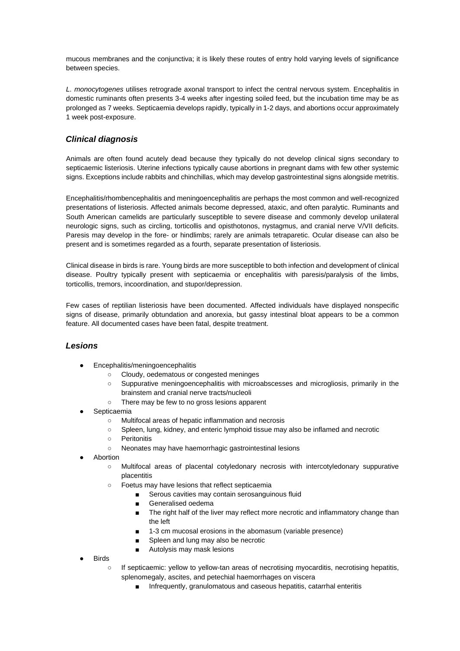mucous membranes and the conjunctiva; it is likely these routes of entry hold varying levels of significance between species.

*L. monocytogenes* utilises retrograde axonal transport to infect the central nervous system. Encephalitis in domestic ruminants often presents 3-4 weeks after ingesting soiled feed, but the incubation time may be as prolonged as 7 weeks. Septicaemia develops rapidly, typically in 1-2 days, and abortions occur approximately 1 week post-exposure.

## *Clinical diagnosis*

Animals are often found acutely dead because they typically do not develop clinical signs secondary to septicaemic listeriosis. Uterine infections typically cause abortions in pregnant dams with few other systemic signs. Exceptions include rabbits and chinchillas, which may develop gastrointestinal signs alongside metritis.

Encephalitis/rhombencephalitis and meningoencephalitis are perhaps the most common and well-recognized presentations of listeriosis. Affected animals become depressed, ataxic, and often paralytic. Ruminants and South American camelids are particularly susceptible to severe disease and commonly develop unilateral neurologic signs, such as circling, torticollis and opisthotonos, nystagmus, and cranial nerve V/VII deficits. Paresis may develop in the fore- or hindlimbs; rarely are animals tetraparetic. Ocular disease can also be present and is sometimes regarded as a fourth, separate presentation of listeriosis.

Clinical disease in birds is rare. Young birds are more susceptible to both infection and development of clinical disease. Poultry typically present with septicaemia or encephalitis with paresis/paralysis of the limbs, torticollis, tremors, incoordination, and stupor/depression.

Few cases of reptilian listeriosis have been documented. Affected individuals have displayed nonspecific signs of disease, primarily obtundation and anorexia, but gassy intestinal bloat appears to be a common feature. All documented cases have been fatal, despite treatment.

### *Lesions*

- Encephalitis/meningoencephalitis
	- Cloudy, oedematous or congested meninges
	- Suppurative meningoencephalitis with microabscesses and microgliosis, primarily in the brainstem and cranial nerve tracts/nucleoli
	- There may be few to no gross lesions apparent
- Septicaemia
	- Multifocal areas of hepatic inflammation and necrosis
	- Spleen, lung, kidney, and enteric lymphoid tissue may also be inflamed and necrotic
	- Peritonitis
	- Neonates may have haemorrhagic gastrointestinal lesions
- **Abortion** 
	- Multifocal areas of placental cotyledonary necrosis with intercotyledonary suppurative placentitis
	- Foetus may have lesions that reflect septicaemia
		- Serous cavities may contain serosanguinous fluid
		- Generalised oedema
		- The right half of the liver may reflect more necrotic and inflammatory change than the left
		- 1-3 cm mucosal erosions in the abomasum (variable presence)
		- Spleen and lung may also be necrotic
		- Autolysis may mask lesions
- **Birds** 
	- If septicaemic: yellow to yellow-tan areas of necrotising myocarditis, necrotising hepatitis, splenomegaly, ascites, and petechial haemorrhages on viscera
		- Infrequently, granulomatous and caseous hepatitis, catarrhal enteritis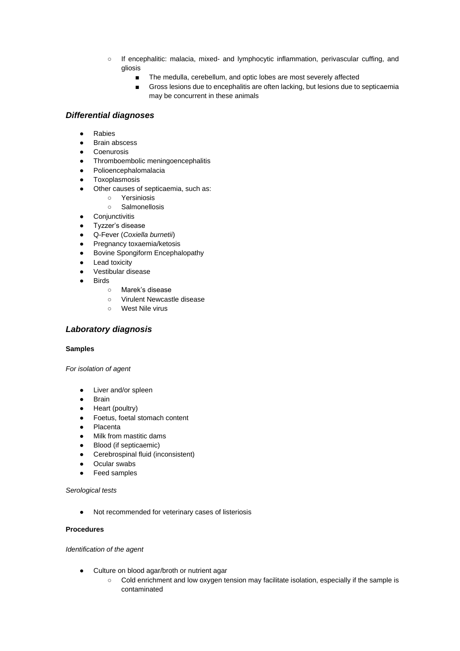- If encephalitic: malacia, mixed- and lymphocytic inflammation, perivascular cuffing, and gliosis
	- The medulla, cerebellum, and optic lobes are most severely affected
	- Gross lesions due to encephalitis are often lacking, but lesions due to septicaemia may be concurrent in these animals

## *Differential diagnoses*

- Rabies
- Brain abscess
- Coenurosis
- Thromboembolic meningoencephalitis
- Polioencephalomalacia
- Toxoplasmosis
- Other causes of septicaemia, such as:
	- Yersiniosis
	- Salmonellosis
- Conjunctivitis
- Tyzzer's disease
- Q-Fever (*Coxiella burnetii*)
- Pregnancy toxaemia/ketosis
- Bovine Spongiform Encephalopathy
- Lead toxicity
- Vestibular disease
- Birds
	- Marek's disease
	- Virulent Newcastle disease
	- West Nile virus

### *Laboratory diagnosis*

#### **Samples**

*For isolation of agent*

- Liver and/or spleen
- Brain
- Heart (poultry)
- Foetus, foetal stomach content
- Placenta
- Milk from mastitic dams
- Blood (if septicaemic)
- Cerebrospinal fluid (inconsistent)
- Ocular swabs
- Feed samples

*Serological tests*

● Not recommended for veterinary cases of listeriosis

#### **Procedures**

*Identification of the agent*

- Culture on blood agar/broth or nutrient agar
	- Cold enrichment and low oxygen tension may facilitate isolation, especially if the sample is contaminated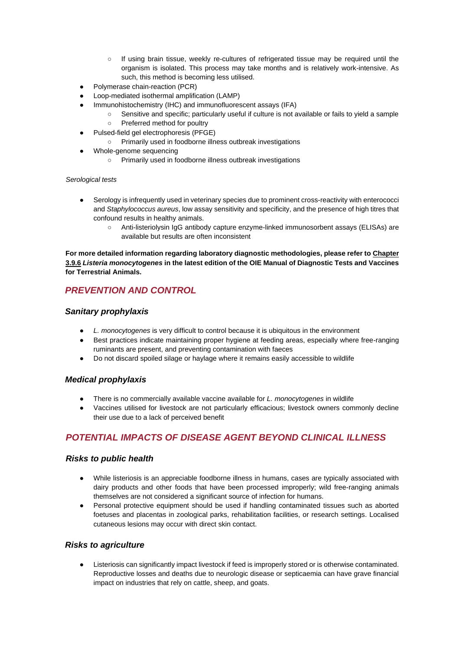- If using brain tissue, weekly re-cultures of refrigerated tissue may be required until the organism is isolated. This process may take months and is relatively work-intensive. As such, this method is becoming less utilised.
- Polymerase chain-reaction (PCR)
- Loop-mediated isothermal amplification (LAMP)
	- Immunohistochemistry (IHC) and immunofluorescent assays (IFA)
		- Sensitive and specific; particularly useful if culture is not available or fails to yield a sample ○ Preferred method for poultry
	- Pulsed-field gel electrophoresis (PFGE)
		- Primarily used in foodborne illness outbreak investigations
- Whole-genome sequencing
	- Primarily used in foodborne illness outbreak investigations

*Serological tests*

- Serology is infrequently used in veterinary species due to prominent cross-reactivity with enterococci and *Staphylococcus aureus*, low assay sensitivity and specificity, and the presence of high titres that confound results in healthy animals.
	- Anti-listeriolysin IgG antibody capture enzyme-linked immunosorbent assays (ELISAs) are available but results are often inconsistent

**For more detailed information regarding laboratory diagnostic methodologies, please refer to Chapter 3.9.6** *Listeria monocytogenes* **in the latest edition of the OIE Manual of Diagnostic Tests and Vaccines for Terrestrial Animals.**

## *PREVENTION AND CONTROL*

## *Sanitary prophylaxis*

- *L. monocytogenes* is very difficult to control because it is ubiquitous in the environment
- Best practices indicate maintaining proper hygiene at feeding areas, especially where free-ranging ruminants are present, and preventing contamination with faeces
- Do not discard spoiled silage or haylage where it remains easily accessible to wildlife

### *Medical prophylaxis*

- There is no commercially available vaccine available for *L. monocytogenes* in wildlife
- Vaccines utilised for livestock are not particularly efficacious; livestock owners commonly decline their use due to a lack of perceived benefit

## *POTENTIAL IMPACTS OF DISEASE AGENT BEYOND CLINICAL ILLNESS*

### *Risks to public health*

- While listeriosis is an appreciable foodborne illness in humans, cases are typically associated with dairy products and other foods that have been processed improperly; wild free-ranging animals themselves are not considered a significant source of infection for humans.
- Personal protective equipment should be used if handling contaminated tissues such as aborted foetuses and placentas in zoological parks, rehabilitation facilities, or research settings. Localised cutaneous lesions may occur with direct skin contact.

### *Risks to agriculture*

Listeriosis can significantly impact livestock if feed is improperly stored or is otherwise contaminated. Reproductive losses and deaths due to neurologic disease or septicaemia can have grave financial impact on industries that rely on cattle, sheep, and goats.